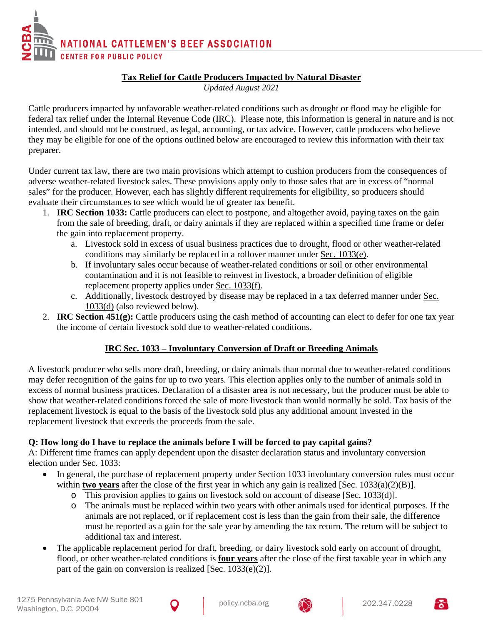

# **Tax Relief for Cattle Producers Impacted by Natural Disaster**

*Updated August 2021*

Cattle producers impacted by unfavorable weather-related conditions such as drought or flood may be eligible for federal tax relief under the Internal Revenue Code (IRC). Please note, this information is general in nature and is not intended, and should not be construed, as legal, accounting, or tax advice. However, cattle producers who believe they may be eligible for one of the options outlined below are encouraged to review this information with their tax preparer.

Under current tax law, there are two main provisions which attempt to cushion producers from the consequences of adverse weather-related livestock sales. These provisions apply only to those sales that are in excess of "normal sales" for the producer. However, each has slightly different requirements for eligibility, so producers should evaluate their circumstances to see which would be of greater tax benefit.

- 1. **IRC Section 1033:** Cattle producers can elect to postpone, and altogether avoid, paying taxes on the gain from the sale of breeding, draft, or dairy animals if they are replaced within a specified time frame or defer the gain into replacement property.
	- a. Livestock sold in excess of usual business practices due to drought, flood or other weather-related conditions may similarly be replaced in a rollover manner under Sec. 1033(e).
	- b. If involuntary sales occur because of weather-related conditions or soil or other environmental contamination and it is not feasible to reinvest in livestock, a broader definition of eligible replacement property applies under Sec. 1033(f).
	- c. Additionally, livestock destroyed by disease may be replaced in a tax deferred manner under Sec. 1033(d) (also reviewed below).
- 2. **IRC Section 451(g):** Cattle producers using the cash method of accounting can elect to defer for one tax year the income of certain livestock sold due to weather-related conditions.

# **IRC Sec. 1033 – Involuntary Conversion of Draft or Breeding Animals**

A livestock producer who sells more draft, breeding, or dairy animals than normal due to weather-related conditions may defer recognition of the gains for up to two years. This election applies only to the number of animals sold in excess of normal business practices. Declaration of a disaster area is not necessary, but the producer must be able to show that weather-related conditions forced the sale of more livestock than would normally be sold. Tax basis of the replacement livestock is equal to the basis of the livestock sold plus any additional amount invested in the replacement livestock that exceeds the proceeds from the sale.

# **Q: How long do I have to replace the animals before I will be forced to pay capital gains?**

A: Different time frames can apply dependent upon the disaster declaration status and involuntary conversion election under Sec. 1033:

- In general, the purchase of replacement property under Section 1033 involuntary conversion rules must occur within **two years** after the close of the first year in which any gain is realized [Sec. 1033(a)(2)(B)].
	- o This provision applies to gains on livestock sold on account of disease [Sec. 1033(d)].
	- o The animals must be replaced within two years with other animals used for identical purposes. If the animals are not replaced, or if replacement cost is less than the gain from their sale, the difference must be reported as a gain for the sale year by amending the tax return. The return will be subject to additional tax and interest.
- The applicable replacement period for draft, breeding, or dairy livestock sold early on account of drought, flood, or other weather-related conditions is **four years** after the close of the first taxable year in which any part of the gain on conversion is realized [Sec. 1033(e)(2)].



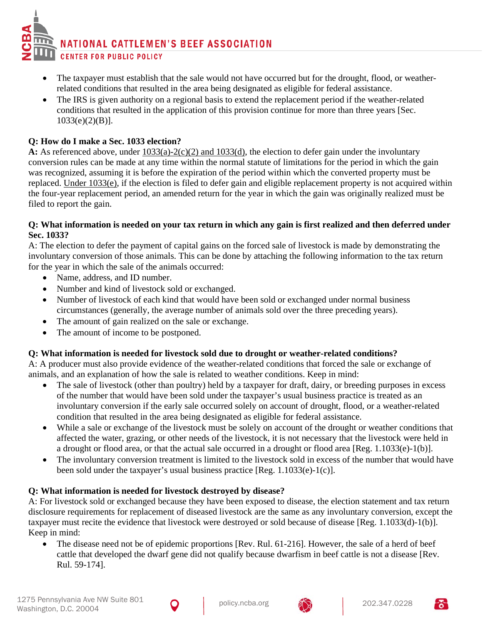- The taxpayer must establish that the sale would not have occurred but for the drought, flood, or weatherrelated conditions that resulted in the area being designated as eligible for federal assistance.
- The IRS is given authority on a regional basis to extend the replacement period if the weather-related conditions that resulted in the application of this provision continue for more than three years [Sec. 1033(e)(2)(B)].

## **Q: How do I make a Sec. 1033 election?**

A: As referenced above, under  $\frac{1033(a)-2(c)(2)$  and  $\frac{1033(d)}{c}$ , the election to defer gain under the involuntary conversion rules can be made at any time within the normal statute of limitations for the period in which the gain was recognized, assuming it is before the expiration of the period within which the converted property must be replaced. Under 1033(e), if the election is filed to defer gain and eligible replacement property is not acquired within the four-year replacement period, an amended return for the year in which the gain was originally realized must be filed to report the gain.

#### **Q: What information is needed on your tax return in which any gain is first realized and then deferred under Sec. 1033?**

A: The election to defer the payment of capital gains on the forced sale of livestock is made by demonstrating the involuntary conversion of those animals. This can be done by attaching the following information to the tax return for the year in which the sale of the animals occurred:

- Name, address, and ID number.
- Number and kind of livestock sold or exchanged.
- Number of livestock of each kind that would have been sold or exchanged under normal business circumstances (generally, the average number of animals sold over the three preceding years).
- The amount of gain realized on the sale or exchange.
- The amount of income to be postponed.

### **Q: What information is needed for livestock sold due to drought or weather-related conditions?**

A: A producer must also provide evidence of the weather-related conditions that forced the sale or exchange of animals, and an explanation of how the sale is related to weather conditions. Keep in mind:

- The sale of livestock (other than poultry) held by a taxpayer for draft, dairy, or breeding purposes in excess of the number that would have been sold under the taxpayer's usual business practice is treated as an involuntary conversion if the early sale occurred solely on account of drought, flood, or a weather-related condition that resulted in the area being designated as eligible for federal assistance.
- While a sale or exchange of the livestock must be solely on account of the drought or weather conditions that affected the water, grazing, or other needs of the livestock, it is not necessary that the livestock were held in a drought or flood area, or that the actual sale occurred in a drought or flood area [Reg. 1.1033(e)-1(b)].
- The involuntary conversion treatment is limited to the livestock sold in excess of the number that would have been sold under the taxpayer's usual business practice [Reg. 1.1033(e)-1(c)].

### **Q: What information is needed for livestock destroyed by disease?**

A: For livestock sold or exchanged because they have been exposed to disease, the election statement and tax return disclosure requirements for replacement of diseased livestock are the same as any involuntary conversion, except the taxpayer must recite the evidence that livestock were destroyed or sold because of disease [Reg. 1.1033(d)-1(b)]. Keep in mind:

• The disease need not be of epidemic proportions [Rev. Rul. 61-216]. However, the sale of a herd of beef cattle that developed the dwarf gene did not qualify because dwarfism in beef cattle is not a disease [Rev. Rul. 59-174].



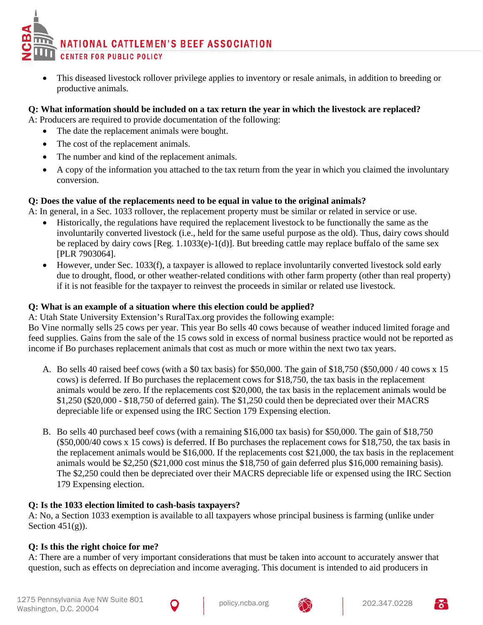• This diseased livestock rollover privilege applies to inventory or resale animals, in addition to breeding or productive animals.

### **Q: What information should be included on a tax return the year in which the livestock are replaced?**

A: Producers are required to provide documentation of the following:

- The date the replacement animals were bought.
- The cost of the replacement animals.
- The number and kind of the replacement animals.
- A copy of the information you attached to the tax return from the year in which you claimed the involuntary conversion.

# **Q: Does the value of the replacements need to be equal in value to the original animals?**

A: In general, in a Sec. 1033 rollover, the replacement property must be similar or related in service or use.

- Historically, the regulations have required the replacement livestock to be functionally the same as the involuntarily converted livestock (i.e., held for the same useful purpose as the old). Thus, dairy cows should be replaced by dairy cows [Reg. 1.1033(e)-1(d)]. But breeding cattle may replace buffalo of the same sex [PLR 7903064].
- However, under Sec. 1033(f), a taxpayer is allowed to replace involuntarily converted livestock sold early due to drought, flood, or other weather-related conditions with other farm property (other than real property) if it is not feasible for the taxpayer to reinvest the proceeds in similar or related use livestock.

### **Q: What is an example of a situation where this election could be applied?**

A: Utah State University Extension's RuralTax.org provides the following example:

Bo Vine normally sells 25 cows per year. This year Bo sells 40 cows because of weather induced limited forage and feed supplies. Gains from the sale of the 15 cows sold in excess of normal business practice would not be reported as income if Bo purchases replacement animals that cost as much or more within the next two tax years.

- A. Bo sells 40 raised beef cows (with a \$0 tax basis) for \$50,000. The gain of \$18,750 (\$50,000 / 40 cows x 15 cows) is deferred. If Bo purchases the replacement cows for \$18,750, the tax basis in the replacement animals would be zero. If the replacements cost \$20,000, the tax basis in the replacement animals would be \$1,250 (\$20,000 - \$18,750 of deferred gain). The \$1,250 could then be depreciated over their MACRS depreciable life or expensed using the IRC Section 179 Expensing election.
- B. Bo sells 40 purchased beef cows (with a remaining \$16,000 tax basis) for \$50,000. The gain of \$18,750 (\$50,000/40 cows x 15 cows) is deferred. If Bo purchases the replacement cows for \$18,750, the tax basis in the replacement animals would be \$16,000. If the replacements cost \$21,000, the tax basis in the replacement animals would be \$2,250 (\$21,000 cost minus the \$18,750 of gain deferred plus \$16,000 remaining basis). The \$2,250 could then be depreciated over their MACRS depreciable life or expensed using the IRC Section 179 Expensing election.

# **Q: Is the 1033 election limited to cash-basis taxpayers?**

A: No, a Section 1033 exemption is available to all taxpayers whose principal business is farming (unlike under Section  $451(g)$ ).

# **Q: Is this the right choice for me?**

A: There are a number of very important considerations that must be taken into account to accurately answer that question, such as effects on depreciation and income averaging. This document is intended to aid producers in



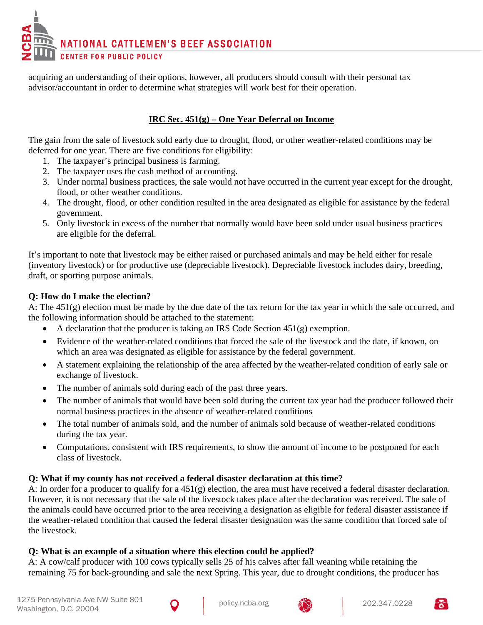acquiring an understanding of their options, however, all producers should consult with their personal tax advisor/accountant in order to determine what strategies will work best for their operation.

# **IRC Sec. 451(g) – One Year Deferral on Income**

The gain from the sale of livestock sold early due to drought, flood, or other weather-related conditions may be deferred for one year. There are five conditions for eligibility:

- 1. The taxpayer's principal business is farming.
- 2. The taxpayer uses the cash method of accounting.
- 3. Under normal business practices, the sale would not have occurred in the current year except for the drought, flood, or other weather conditions.
- 4. The drought, flood, or other condition resulted in the area designated as eligible for assistance by the federal government.
- 5. Only livestock in excess of the number that normally would have been sold under usual business practices are eligible for the deferral.

It's important to note that livestock may be either raised or purchased animals and may be held either for resale (inventory livestock) or for productive use (depreciable livestock). Depreciable livestock includes dairy, breeding, draft, or sporting purpose animals.

# **Q: How do I make the election?**

A: The 451(g) election must be made by the due date of the tax return for the tax year in which the sale occurred, and the following information should be attached to the statement:

- A declaration that the producer is taking an IRS Code Section  $451(g)$  exemption.
- Evidence of the weather-related conditions that forced the sale of the livestock and the date, if known, on which an area was designated as eligible for assistance by the federal government.
- A statement explaining the relationship of the area affected by the weather-related condition of early sale or exchange of livestock.
- The number of animals sold during each of the past three years.
- The number of animals that would have been sold during the current tax year had the producer followed their normal business practices in the absence of weather-related conditions
- The total number of animals sold, and the number of animals sold because of weather-related conditions during the tax year.
- Computations, consistent with IRS requirements, to show the amount of income to be postponed for each class of livestock.

# **Q: What if my county has not received a federal disaster declaration at this time?**

A: In order for a producer to qualify for a 451(g) election, the area must have received a federal disaster declaration. However, it is not necessary that the sale of the livestock takes place after the declaration was received. The sale of the animals could have occurred prior to the area receiving a designation as eligible for federal disaster assistance if the weather-related condition that caused the federal disaster designation was the same condition that forced sale of the livestock.

# **Q: What is an example of a situation where this election could be applied?**

A: A cow/calf producer with 100 cows typically sells 25 of his calves after fall weaning while retaining the remaining 75 for back-grounding and sale the next Spring. This year, due to drought conditions, the producer has